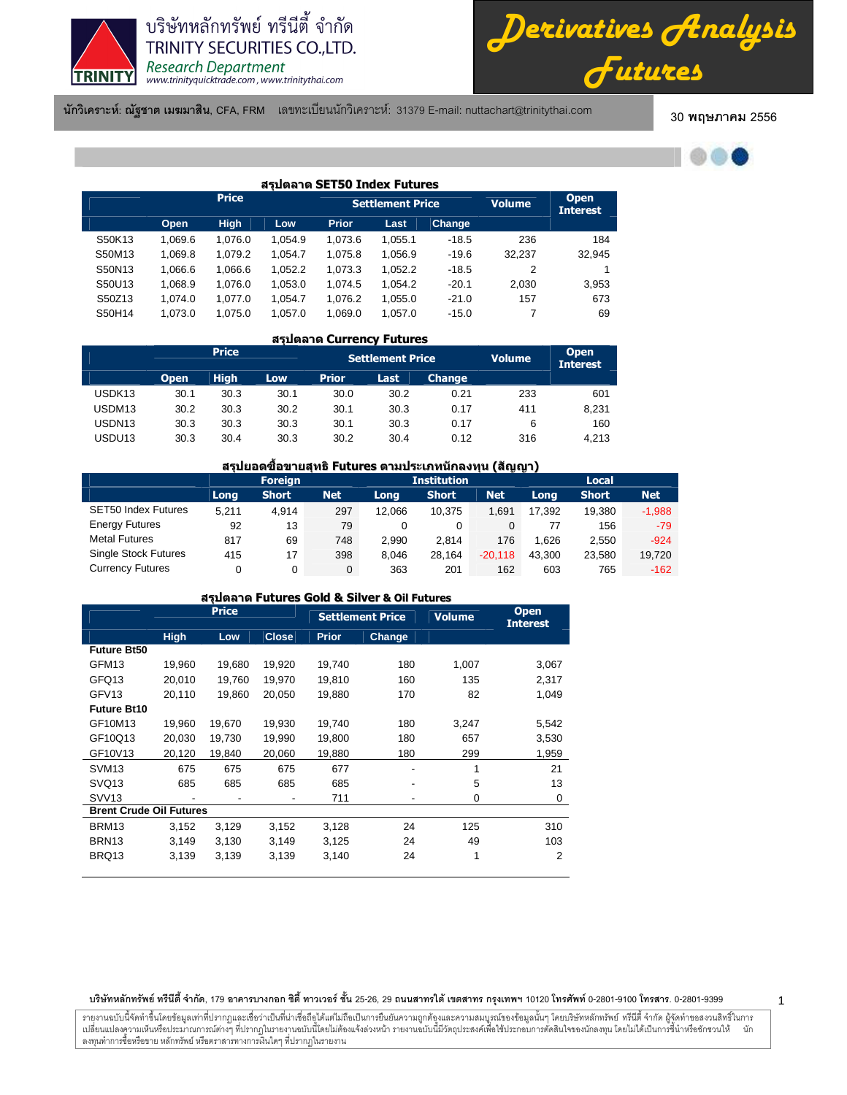

*Derivatives Analysis Futures*

**นักวิเคราะห์: ณัฐชาต เมฆมาสิน, CFA, FRM** แลขทะเบียนนักวิเคราะห์: 31379 E-mail: nuttachart@trinitythai.com 30 **พ** 

#### 30 พฤษภาคม 2556



1

| สรปตลาด SET50 Index Futures |         |              |         |              |                         |               |               |                                |  |  |  |  |  |
|-----------------------------|---------|--------------|---------|--------------|-------------------------|---------------|---------------|--------------------------------|--|--|--|--|--|
|                             |         | <b>Price</b> |         |              | <b>Settlement Price</b> |               | <b>Volume</b> | <b>Open</b><br><b>Interest</b> |  |  |  |  |  |
|                             | Open    | <b>High</b>  | Low     | <b>Prior</b> | Last                    | <b>Change</b> |               |                                |  |  |  |  |  |
| S50K13                      | 1.069.6 | 1.076.0      | 1.054.9 | 1.073.6      | 1.055.1                 | $-18.5$       | 236           | 184                            |  |  |  |  |  |
| S50M13                      | 1,069.8 | 1,079.2      | 1,054.7 | 1,075.8      | 1,056.9                 | $-19.6$       | 32,237        | 32,945                         |  |  |  |  |  |
| S50N13                      | 1,066.6 | 1,066.6      | 1,052.2 | 1,073.3      | 1,052.2                 | $-18.5$       | 2             |                                |  |  |  |  |  |
| S50U13                      | 1.068.9 | 1.076.0      | 1,053.0 | 1.074.5      | 1.054.2                 | $-20.1$       | 2.030         | 3,953                          |  |  |  |  |  |
| S50Z13                      | 1.074.0 | 1.077.0      | 1.054.7 | 1.076.2      | 1,055.0                 | $-21.0$       | 157           | 673                            |  |  |  |  |  |
| S50H14                      | 1,073.0 | 1,075.0      | 1,057.0 | 1,069.0      | 1,057.0                 | $-15.0$       | 7             | 69                             |  |  |  |  |  |

# สรุปตลาด Currency Futures

|                    |             | <b>Price</b> |      |              | <b>Settlement Price</b> |               | <b>Volume</b> | <b>Open</b><br><b>Interest</b> |
|--------------------|-------------|--------------|------|--------------|-------------------------|---------------|---------------|--------------------------------|
|                    | <b>Open</b> | <b>High</b>  | Low. | <b>Prior</b> | Last                    | <b>Change</b> |               |                                |
| USDK <sub>13</sub> | 30.1        | 30.3         | 30.1 | 30.0         | 30.2                    | 0.21          | 233           | 601                            |
| USDM13             | 30.2        | 30.3         | 30.2 | 30.1         | 30.3                    | 0.17          | 411           | 8,231                          |
| USDN <sub>13</sub> | 30.3        | 30.3         | 30.3 | 30.1         | 30.3                    | 0.17          | 6             | 160                            |
| USDU13             | 30.3        | 30.4         | 30.3 | 30.2         | 30.4                    | 0.12          | 316           | 4.213                          |

# ี่สรุปยอดชื้อขายสุทธิ Futures ตามประเภทนักลงทุน (สัญญา)

|                             |       | <b>Foreign</b> |            | <b>Institution</b> | Local        |            |        |              |            |
|-----------------------------|-------|----------------|------------|--------------------|--------------|------------|--------|--------------|------------|
|                             | Long  | <b>Short</b>   | <b>Net</b> | Long               | <b>Short</b> | <b>Net</b> | Long   | <b>Short</b> | <b>Net</b> |
| <b>SET50 Index Futures</b>  | 5.211 | 4.914          | 297        | 12.066             | 10.375       | 1.691      | 17.392 | 19.380       | $-1,988$   |
| <b>Energy Futures</b>       | 92    | 13             | 79         | 0                  | 0            |            |        | 156          | $-79$      |
| <b>Metal Futures</b>        | 817   | 69             | 748        | 2.990              | 2.814        | 176        | 1.626  | 2.550        | $-924$     |
| <b>Single Stock Futures</b> | 415   | 17             | 398        | 8.046              | 28.164       | $-20.118$  | 43.300 | 23.580       | 19,720     |
| <b>Currency Futures</b>     |       | 0              | $\Omega$   | 363                | 201          | 162        | 603    | 765          | $-162$     |

| สรปตลาด Futures Gold & Silver & Oil Futures |             |              |              |              |                         |               |                                |  |  |  |  |  |
|---------------------------------------------|-------------|--------------|--------------|--------------|-------------------------|---------------|--------------------------------|--|--|--|--|--|
|                                             |             | <b>Price</b> |              |              | <b>Settlement Price</b> | <b>Volume</b> | <b>Open</b><br><b>Interest</b> |  |  |  |  |  |
|                                             | <b>High</b> | Low          | <b>Close</b> | <b>Prior</b> | Change                  |               |                                |  |  |  |  |  |
| <b>Future Bt50</b>                          |             |              |              |              |                         |               |                                |  |  |  |  |  |
| GFM <sub>13</sub>                           | 19,960      | 19,680       | 19,920       | 19,740       | 180                     | 1,007         | 3,067                          |  |  |  |  |  |
| GFQ13                                       | 20,010      | 19,760       | 19,970       | 19,810       | 160                     | 135           | 2,317                          |  |  |  |  |  |
| GFV <sub>13</sub>                           | 20,110      | 19.860       | 20.050       | 19,880       | 170                     | 82            | 1,049                          |  |  |  |  |  |
| <b>Future Bt10</b>                          |             |              |              |              |                         |               |                                |  |  |  |  |  |
| GF10M13                                     | 19,960      | 19,670       | 19,930       | 19,740       | 180                     | 3,247         | 5,542                          |  |  |  |  |  |
| GF10Q13                                     | 20,030      | 19,730       | 19,990       | 19,800       | 180                     | 657           | 3,530                          |  |  |  |  |  |
| GF10V13                                     | 20,120      | 19,840       | 20,060       | 19,880       | 180                     | 299           | 1,959                          |  |  |  |  |  |
| SVM <sub>13</sub>                           | 675         | 675          | 675          | 677          |                         | $\mathbf{1}$  | 21                             |  |  |  |  |  |
| SVQ <sub>13</sub>                           | 685         | 685          | 685          | 685          |                         | 5             | 13                             |  |  |  |  |  |
| SVV <sub>13</sub>                           |             |              |              | 711          |                         | 0             | 0                              |  |  |  |  |  |
| <b>Brent Crude Oil Futures</b>              |             |              |              |              |                         |               |                                |  |  |  |  |  |
| BRM <sub>13</sub>                           | 3,152       | 3,129        | 3,152        | 3,128        | 24                      | 125           | 310                            |  |  |  |  |  |
| BRN <sub>13</sub>                           | 3,149       | 3,130        | 3,149        | 3,125        | 24                      | 49            | 103                            |  |  |  |  |  |
| BRQ13                                       | 3,139       | 3,139        | 3,139        | 3,140        | 24                      | 1             | 2                              |  |  |  |  |  |

#### บริษัทหลักทรัพย์ ทรีนีตี้ จำกัด, 179 อาคารบางกอก ซิตี้ ทาวเวอร์ ชั้น 25-26, 29 ถนนสาทรได้ เขตสาร กรุงเทพฯ 10120 โทรศัพท์ 0-2801-9399 คำสาร. 0-2801-9399

รายงานฉบับนี้จัดทำขึ้นโดยข้อมูลเท่าที่ปรากฏและเชื่อว่าเป็นที่น่าขึ้นต้อมก็การบันความถูกต้องและความสมบูรณ์ของข้อมูลนั้นๆ โดยบริษัทหลักทรัพย์ ทรีนี้ตี้ จำกัด ผู้จัดทำขอสงวนสิทธิ์ในการ í เปลี่ยนแปลงความเห็นหรือประมาณการณ์ต่างๆ ที่ปรากฏในรายงานฉบันนี้ต้องแจ้งล่วงหน้า รายงานฉบับนี้มีจักตรีในโจรตัดอนได้แปรตั้งในการขึ้นำหรือชักชวนให้ นัก ลงทุนทำการซื้อหรือขาย หลักทรัพย์ หรือตราสารทางการเงินใดๆ ที่ปรากฏในรายงาน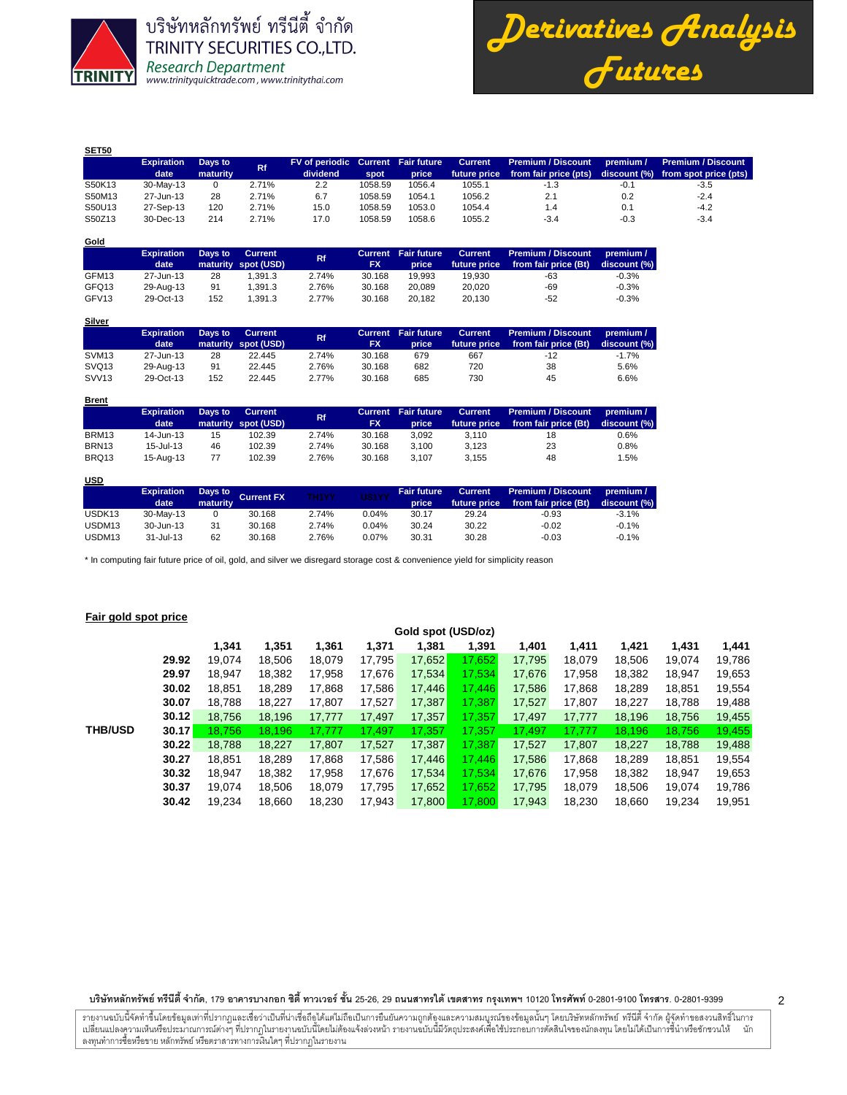

*Derivatives Analysis Futures*

| <b>SET50</b> |                   |          |       |                                    |         |        |                |                           |           |                                    |
|--------------|-------------------|----------|-------|------------------------------------|---------|--------|----------------|---------------------------|-----------|------------------------------------|
|              | <b>Expiration</b> | Days to  | Rf.   | FV of periodic Current Fair future |         |        | <b>Current</b> | <b>Premium / Discount</b> | premium / | <b>Premium / Discount</b>          |
|              | date              | maturity |       | dividend                           | spot    | price  | future price   | from fair price (pts)     |           | discount (%) from spot price (pts) |
| S50K13       | 30-May-13         |          | 2.71% | 2.2                                | 1058.59 | 1056.4 | 1055.1         | -1.3                      | $-0.1$    | $-3.5$                             |
| S50M13       | 27-Jun-13         | 28       | 2.71% | 6.7                                | 1058.59 | 1054.1 | 1056.2         | 2.1                       | 0.2       | $-2.4$                             |
| S50U13       | 27-Sep-13         | 120      | 2.71% | 15.0                               | 1058.59 | 1053.0 | 1054.4         | 1.4                       | 0.1       | $-4.2$                             |
| S50Z13       | 30-Dec-13         | 214      | 2.71% | 17.0                               | 1058.59 | 1058.6 | 1055.2         | $-3.4$                    | $-0.3$    | $-3.4$                             |

| Gold              |                   |         |                     |           |           |                            |                |                           |              |
|-------------------|-------------------|---------|---------------------|-----------|-----------|----------------------------|----------------|---------------------------|--------------|
|                   | <b>Expiration</b> | Days to | <b>Current</b>      | <b>Rf</b> |           | <b>Current Fair future</b> | <b>Current</b> | <b>Premium / Discount</b> | premium /    |
|                   | date              |         | maturity spot (USD) |           | <b>FX</b> | price                      | future price   | from fair price (Bt)      | discount (%) |
| GFM13             | 27-Jun-13         | 28      | 1.391.3             | 2.74%     | 30.168    | 19.993                     | 19.930         | -63                       | $-0.3%$      |
| GFQ13             | 29-Aug-13         | 91      | 1.391.3             | 2.76%     | 30.168    | 20.089                     | 20.020         | -69                       | $-0.3%$      |
| GFV <sub>13</sub> | 29-Oct-13         | 152     | 1.391.3             | 2.77%     | 30.168    | 20.182                     | 20.130         | $-52$                     | $-0.3%$      |

|                   | <b>Expiration</b><br>date | Days to | Current<br>maturity spot (USD) | <b>Rf</b> | FX     | <b>Current</b> Fair future<br>price | <b>Current</b><br>future price | Premium / Discount<br>from fair price (Bt) | premium /<br>discount (%) |
|-------------------|---------------------------|---------|--------------------------------|-----------|--------|-------------------------------------|--------------------------------|--------------------------------------------|---------------------------|
| SVM <sub>13</sub> | 27-Jun-13                 | 28      | 22.445                         | 2.74%     | 30.168 | 679                                 | 667                            | -12                                        | $-1.7%$                   |
| SVQ <sub>13</sub> | 29-Aug-13                 | 91      | 22.445                         | 2.76%     | 30.168 | 682                                 | 720                            | 38                                         | 5.6%                      |
| SVV <sub>13</sub> | 29-Oct-13                 | 152     | 22.445                         | 2.77%     | 30.168 | 685                                 | 730                            | 45                                         | 6.6%                      |

| <u>Brent</u>      |                   |         |                     |           |           |                            |                |                           |              |
|-------------------|-------------------|---------|---------------------|-----------|-----------|----------------------------|----------------|---------------------------|--------------|
|                   | <b>Expiration</b> | Days to | Current             | <b>Rf</b> |           | <b>Current</b> Fair future | <b>Current</b> | <b>Premium / Discount</b> | premium /    |
|                   | date              |         | maturity spot (USD) |           | <b>FX</b> | price                      | future price   | from fair price (Bt)      | discount (%) |
| BRM13             | 14-Jun-13         | 15      | 102.39              | 2.74%     | 30.168    | 3.092                      | 3.110          | 18                        | 0.6%         |
| BRN <sub>13</sub> | $15 -$ Jul-13     | 46      | 102.39              | 2.74%     | 30.168    | 3.100                      | 3.123          | 23                        | 0.8%         |
| BRQ13             | 15-Aug-13         | 77      | 102.39              | 2.76%     | 30.168    | 3.107                      | 3.155          | 48                        | 1.5%         |

# **USD**

|                    | <b>Expiration</b><br>date | maturity | Days to Current FX | <b>TH1YY</b> | US1YY | <b>Fair future</b><br>price | <b>Current</b><br>future price | Premium / Discount<br>from fair price (Bt) | premium /<br>discount (%) |
|--------------------|---------------------------|----------|--------------------|--------------|-------|-----------------------------|--------------------------------|--------------------------------------------|---------------------------|
| USDK <sub>13</sub> | 30-May-13                 |          | 30.168             | 2.74%        | 0.04% | 30.17                       | 29.24                          | $-0.93$                                    | $-3.1%$                   |
| USDM <sub>13</sub> | 30-Jun-13                 | 31       | 30.168             | 2.74%        | 0.04% | 30.24                       | 30.22                          | $-0.02$                                    | $-0.1%$                   |
| USDM <sub>13</sub> | $31 -$ Jul-13             | 62       | 30.168             | 2.76%        | 0.07% | 30.31                       | 30.28                          | $-0.03$                                    | $-0.1%$                   |

\* In computing fair future price of oil, gold, and silver we disregard storage cost & convenience yield for simplicity reason

# **Fair gold spot price**

|                |       | Gold spot (USD/oz) |        |        |        |        |        |        |        |        |        |        |  |  |  |  |
|----------------|-------|--------------------|--------|--------|--------|--------|--------|--------|--------|--------|--------|--------|--|--|--|--|
|                |       | 1.341              | 1,351  | 1,361  | 1,371  | 1,381  | 1,391  | 1,401  | 1.411  | 1,421  | 1,431  | 1,441  |  |  |  |  |
|                | 29.92 | 19.074             | 18.506 | 18,079 | 17.795 | 17,652 | 17.652 | 17.795 | 18.079 | 18,506 | 19.074 | 19,786 |  |  |  |  |
|                | 29.97 | 18.947             | 18.382 | 17.958 | 17,676 | 17,534 | 17.534 | 17.676 | 17.958 | 18,382 | 18.947 | 19,653 |  |  |  |  |
|                | 30.02 | 18.851             | 18.289 | 17,868 | 17,586 | 17,446 | 17.446 | 17.586 | 17.868 | 18,289 | 18,851 | 19,554 |  |  |  |  |
|                | 30.07 | 18.788             | 18.227 | 17,807 | 17,527 | 17,387 | 17.387 | 17.527 | 17,807 | 18,227 | 18,788 | 19,488 |  |  |  |  |
|                | 30.12 | 18.756             | 18,196 | 17,777 | 17,497 | 17,357 | 17.357 | 17,497 | 17,777 | 18,196 | 18,756 | 19,455 |  |  |  |  |
| <b>THB/USD</b> | 30.17 | 18.756             | 18.196 | 17.777 | 17.497 | 17.357 | 17.357 | 17.497 | 17.777 | 18,196 | 18.756 | 19,455 |  |  |  |  |
|                | 30.22 | 18.788             | 18,227 | 17,807 | 17,527 | 17,387 | 17,387 | 17,527 | 17,807 | 18,227 | 18,788 | 19,488 |  |  |  |  |
|                | 30.27 | 18.851             | 18.289 | 17,868 | 17,586 | 17,446 | 17.446 | 17.586 | 17.868 | 18,289 | 18,851 | 19,554 |  |  |  |  |
|                | 30.32 | 18.947             | 18,382 | 17,958 | 17,676 | 17,534 | 17.534 | 17.676 | 17.958 | 18.382 | 18.947 | 19,653 |  |  |  |  |
|                | 30.37 | 19.074             | 18.506 | 18.079 | 17,795 | 17,652 | 17.652 | 17.795 | 18.079 | 18.506 | 19.074 | 19,786 |  |  |  |  |
|                | 30.42 | 19.234             | 18.660 | 18.230 | 17.943 | 17,800 | 17.800 | 17.943 | 18.230 | 18.660 | 19.234 | 19,951 |  |  |  |  |

บริษัทหลักทรัพย์ ทรีนีตี้ จำกัด, 179 อาคารบางกอก ซิตี้ ทาวเวอร์ ชั้น 25-26, 29 ถนนสาทรได้ เขตสาร กรุงเทพฯ 10120 โทรศัพท์ 0-2801-9399 คำสาร. 0-2801-9399

รายงานฉบับนี้จัดทำขึ้นโดยข้อมูลเท่าที่ปรากฏและเชื่อว่าเป็นที่น่าขึ้นต้อมก็การบันความถูกต้องและความสมบูรณ์ของข้อมูลนั้นๆ โดยบริษัทหลักทรัพย์ ทรีนี้ตี้ จำกัด ผู้จัดทำขอสงวนสิทธิ์ในการ í เปลี่ยนแปลงความเห็นหรือประมาณการณ์ต่างๆ ที่ปรากฏในรายงานฉบันนี้ต้องแจ้งล่วงหน้า รายงานฉบับนี้มีจักตรีในโจรตัดอนได้แปรตั้งในการขึ้นำหรือชักชวนให้ นัก ลงทุนทำการซื้อหรือขาย หลักทรัพย์ หรือตราสารทางการเงินใดๆ ที่ปรากฏในรายงาน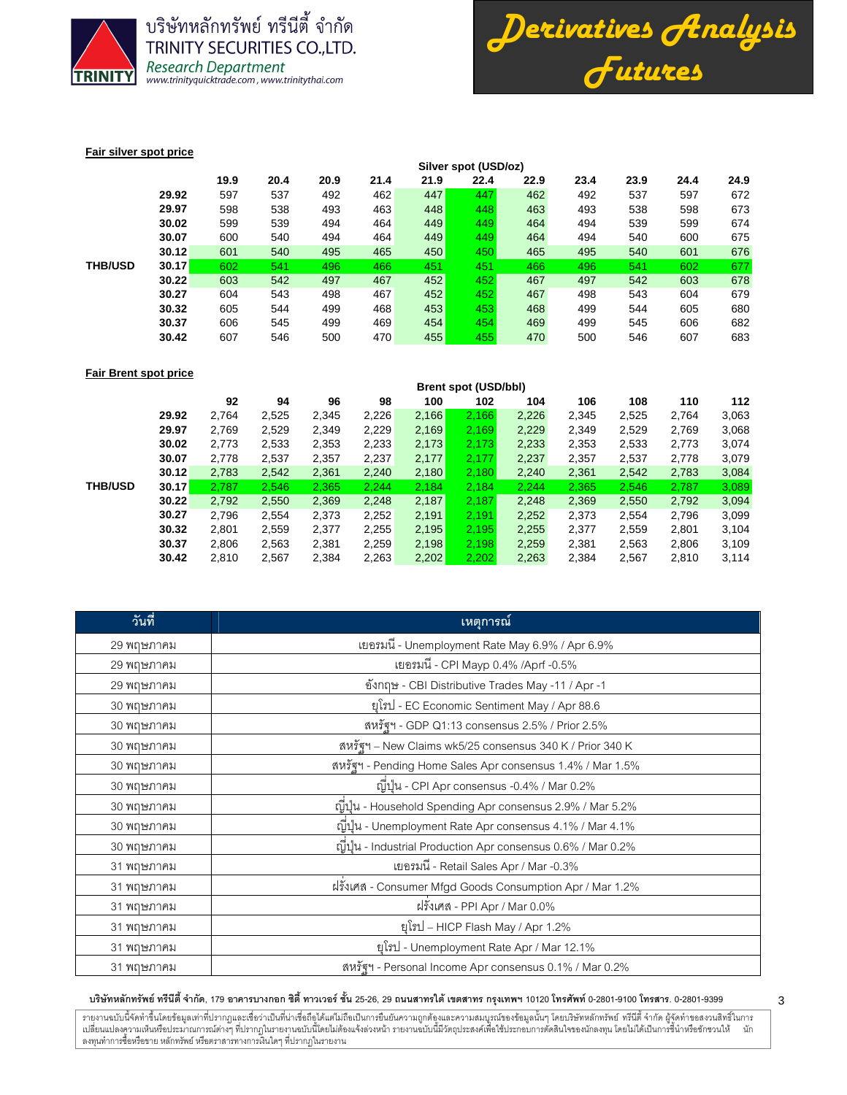



## **Fair silver spot price**

|                |       | Silver spot (USD/oz) |      |      |      |      |      |      |      |      |      |      |  |  |  |
|----------------|-------|----------------------|------|------|------|------|------|------|------|------|------|------|--|--|--|
|                |       | 19.9                 | 20.4 | 20.9 | 21.4 | 21.9 | 22.4 | 22.9 | 23.4 | 23.9 | 24.4 | 24.9 |  |  |  |
|                | 29.92 | 597                  | 537  | 492  | 462  | 447  | 447  | 462  | 492  | 537  | 597  | 672  |  |  |  |
|                | 29.97 | 598                  | 538  | 493  | 463  | 448  | 448  | 463  | 493  | 538  | 598  | 673  |  |  |  |
|                | 30.02 | 599                  | 539  | 494  | 464  | 449  | 449  | 464  | 494  | 539  | 599  | 674  |  |  |  |
|                | 30.07 | 600                  | 540  | 494  | 464  | 449  | 449  | 464  | 494  | 540  | 600  | 675  |  |  |  |
|                | 30.12 | 601                  | 540  | 495  | 465  | 450  | 450  | 465  | 495  | 540  | 601  | 676  |  |  |  |
| <b>THB/USD</b> | 30.17 | 602                  | 541  | 496  | 466  | 451  | 451  | 466  | 496  | 541  | 602  | 677  |  |  |  |
|                | 30.22 | 603                  | 542  | 497  | 467  | 452  | 452  | 467  | 497  | 542  | 603  | 678  |  |  |  |
|                | 30.27 | 604                  | 543  | 498  | 467  | 452  | 452  | 467  | 498  | 543  | 604  | 679  |  |  |  |
|                | 30.32 | 605                  | 544  | 499  | 468  | 453  | 453  | 468  | 499  | 544  | 605  | 680  |  |  |  |
|                | 30.37 | 606                  | 545  | 499  | 469  | 454  | 454  | 469  | 499  | 545  | 606  | 682  |  |  |  |
|                | 30.42 | 607                  | 546  | 500  | 470  | 455  | 455  | 470  | 500  | 546  | 607  | 683  |  |  |  |

## **Fair Brent spot price**

|                |       | <b>Brent spot (USD/bbl)</b> |       |       |       |       |       |       |       |       |       |       |
|----------------|-------|-----------------------------|-------|-------|-------|-------|-------|-------|-------|-------|-------|-------|
|                |       | 92                          | 94    | 96    | 98    | 100   | 102   | 104   | 106   | 108   | 110   | 112   |
|                | 29.92 | 2,764                       | 2,525 | 2,345 | 2,226 | 2,166 | 2,166 | 2,226 | 2,345 | 2,525 | 2,764 | 3,063 |
|                | 29.97 | 2,769                       | 2,529 | 2,349 | 2,229 | 2,169 | 2,169 | 2,229 | 2,349 | 2,529 | 2,769 | 3,068 |
|                | 30.02 | 2,773                       | 2,533 | 2,353 | 2,233 | 2,173 | 2,173 | 2,233 | 2,353 | 2,533 | 2,773 | 3,074 |
| <b>THB/USD</b> | 30.07 | 2,778                       | 2,537 | 2,357 | 2,237 | 2,177 | 2,177 | 2,237 | 2,357 | 2,537 | 2,778 | 3,079 |
|                | 30.12 | 2,783                       | 2,542 | 2,361 | 2,240 | 2,180 | 2,180 | 2,240 | 2,361 | 2,542 | 2,783 | 3,084 |
|                | 30.17 | 2.787                       | 2,546 | 2,365 | 2,244 | 2,184 | 2.184 | 2.244 | 2,365 | 2,546 | 2,787 | 3,089 |
|                | 30.22 | 2,792                       | 2,550 | 2,369 | 2,248 | 2,187 | 2,187 | 2,248 | 2,369 | 2,550 | 2,792 | 3,094 |
|                | 30.27 | 2,796                       | 2,554 | 2,373 | 2,252 | 2,191 | 2,191 | 2,252 | 2,373 | 2,554 | 2,796 | 3,099 |
|                | 30.32 | 2.801                       | 2,559 | 2,377 | 2,255 | 2,195 | 2.195 | 2,255 | 2,377 | 2,559 | 2,801 | 3,104 |
|                | 30.37 | 2,806                       | 2,563 | 2,381 | 2,259 | 2,198 | 2.198 | 2,259 | 2,381 | 2,563 | 2,806 | 3,109 |
|                | 30.42 | 2,810                       | 2,567 | 2,384 | 2,263 | 2,202 | 2,202 | 2,263 | 2.384 | 2,567 | 2,810 | 3,114 |

| วันที่     | ้ เหตุการณ์                                                   |
|------------|---------------------------------------------------------------|
| 29 พฤษภาคม | เยอรมนี - Unemployment Rate May 6.9% / Apr 6.9%               |
| 29 พฤษภาคม | เยอรมนี - CPI Mayp 0.4% /Aprf -0.5%                           |
| 29 พฤษภาคม | อังกฤษ - CBI Distributive Trades May -11 / Apr -1             |
| 30 พฤษภาคม | ยุโรป - EC Economic Sentiment May / Apr 88.6                  |
| 30 พฤษภาคม | สหรัฐฯ - GDP Q1:13 consensus 2.5% / Prior 2.5%                |
| 30 พฤษภาคม | สหรัฐฯ - New Claims wk5/25 consensus 340 K / Prior 340 K      |
| 30 พฤษภาคม | สหรัฐฯ - Pending Home Sales Apr consensus 1.4% / Mar 1.5%     |
| 30 พฤษภาคม | ญี่ปุ่น - CPI Apr consensus -0.4% / Mar 0.2%                  |
| 30 พฤษภาคม | ญี่ปุ่น - Household Spending Apr consensus 2.9% / Mar 5.2%    |
| 30 พฤษภาคม | ญี่ปุ่น - Unemployment Rate Apr consensus 4.1% / Mar 4.1%     |
| 30 พฤษภาคม | ญี่ปุ่น - Industrial Production Apr consensus 0.6% / Mar 0.2% |
| 31 พฤษภาคม | เยอรมนี - Retail Sales Apr / Mar -0.3%                        |
| 31 พฤษภาคม | ฝรั่งเศส - Consumer Mfgd Goods Consumption Apr / Mar 1.2%     |
| 31 พฤษภาคม | ฝรั่งเศส - PPI Apr / Mar 0.0%                                 |
| 31 พฤษภาคม | ยุโรป – HICP Flash May / Apr 1.2%                             |
| 31 พฤษภาคม | ยุโรป - Unemployment Rate Apr / Mar 12.1%                     |
| 31 พฤษภาคม | สหรัฐฯ - Personal Income Apr consensus 0.1% / Mar 0.2%        |

#### บริษัทหลักทรัพย์ ทรีนีตี้ จำกัด, 179 อาคารบางกอก ซิตี้ ทาวเวอร์ ชั้น 25-26, 29 ถนนสาทรได้ เขตสาร กรุงเทพฯ 10120 โทรศัพท์ 0-2801-9399 คำสาร. 0-2801-9399

รายงานฉบับนี้จัดทำขึ้นโดยข้อมูลเท่าที่ปรากฏและเชื่อว่าเป็นที่น่าขึ้นต้อมก็การบันความถูกต้องและความสมบูรณ์ของข้อมูลนั้นๆ โดยบริษัทหลักทรัพย์ ทรีนี้ตี้ จำกัด ผู้จัดทำขอสงวนสิทธิ์ในการ í เปลี่ยนแปลงความเห็นหรือประมาณการณ์ต่างๆ ที่ปรากฏในรายงานฉบันนี้ต้องแจ้งล่วงหน้า รายงานฉบับนี้มีจักตรีในโจรตัดอนได้แปรตั้งในการขึ้นำหรือชักชวนให้ นัก ลงทุนทำการซื้อหรือขาย หลักทรัพย์ หรือตราสารทางการเงินใดๆ ที่ปรากฏในรายงาน